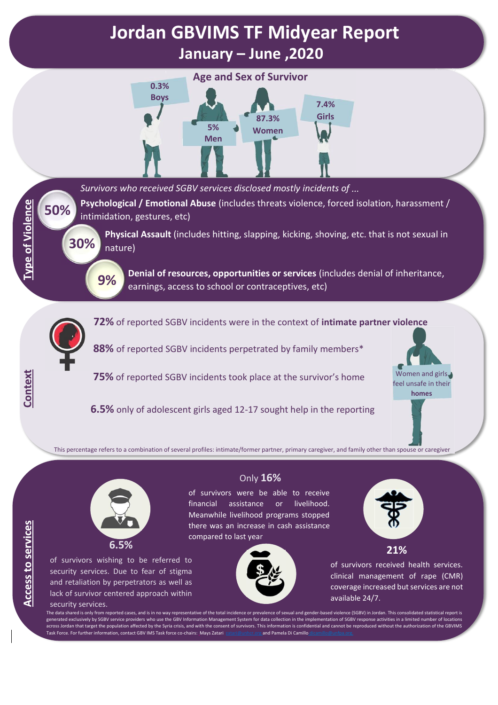## **Jordan GBVIMS TF Midyear Report January – June ,2020**



*Survivors who received SGBV services disclosed mostly incidents of ...*

**Psychological / Emotional Abuse** (includes threats violence, forced isolation, harassment / intimidation, gestures, etc)

**Physical Assault** (includes hitting, slapping, kicking, shoving, etc. that is not sexual in nature)

**9%**

**Denial of resources, opportunities or services** (includes denial of inheritance, earnings, access to school or contraceptives, etc)



**50%**

**Type of Violence** 

Context

**30%**

**72%** of reported SGBV incidents were in the context of **intimate partner violence**

**88%** of reported SGBV incidents perpetrated by family members\*

**75%** of reported SGBV incidents took place at the survivor's home

**6.5%** only of adolescent girls aged 12-17 sought help in the reporting



This percentage refers to a combination of several profiles: intimate/former partner, primary caregiver, and family other than spouse or caregiver



of survivors wishing to be referred to security services. Due to fear of stigma and retaliation by perpetrators as well as lack of survivor centered approach within

## security services.

Only **16%**

of survivors were be able to receive financial assistance or livelihood. Meanwhile livelihood programs stopped there was an increase in cash assistance compared to last year





**21%**

of survivors received health services. clinical management of rape (CMR) coverage increased but services are not available 24/7.

The data shared is only from reported cases, and is in no way representative of the total incidence or prevalence of sexual and gender-based violence (SGBV) in Jordan. This consolidated statistical report is generated exclusively by SGBV service providers who use the GBV Information Management System for data collection in the implementation of SGBV response activities in a limited number of locations across Jordan that target the population affected by the Syria crisis, and with the consent of survivors. This information is confidential and cannot be reproduced without the authorization of the GBVIMS Task Force. For further information, contact GBV IMS Task force co-chairs: Mays Zatari **[zatari@unhcr.org](mailto:zatari@unhcr.org) and Pamela Di Camillo**